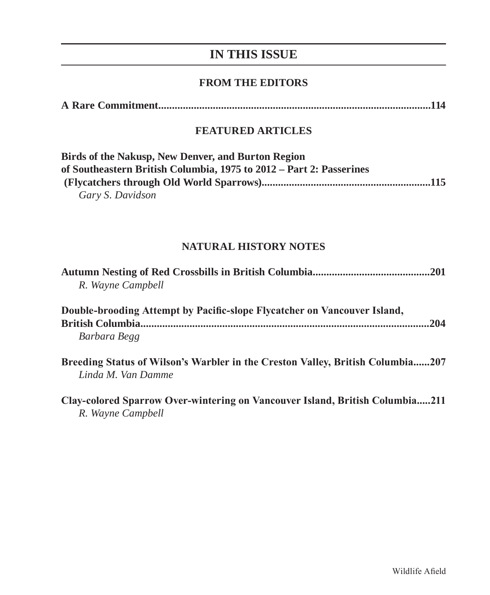# **IN THIS ISSUE**

## **FROM THE EDITORS**

|--|--|

## **FEATURED ARTICLES**

| Birds of the Nakusp, New Denver, and Burton Region                  |  |
|---------------------------------------------------------------------|--|
| of Southeastern British Columbia, 1975 to 2012 – Part 2: Passerines |  |
|                                                                     |  |
| Gary S. Davidson                                                    |  |

# **NATURAL HISTORY NOTES**

| .201<br>R. Wayne Campbell                                                                            |  |
|------------------------------------------------------------------------------------------------------|--|
| Double-brooding Attempt by Pacific-slope Flycatcher on Vancouver Island,<br>.204<br>Barbara Begg     |  |
| Breeding Status of Wilson's Warbler in the Creston Valley, British Columbia207<br>Linda M. Van Damme |  |
| Clay-colored Sparrow Over-wintering on Vancouver Island, British Columbia211<br>R. Wayne Campbell    |  |